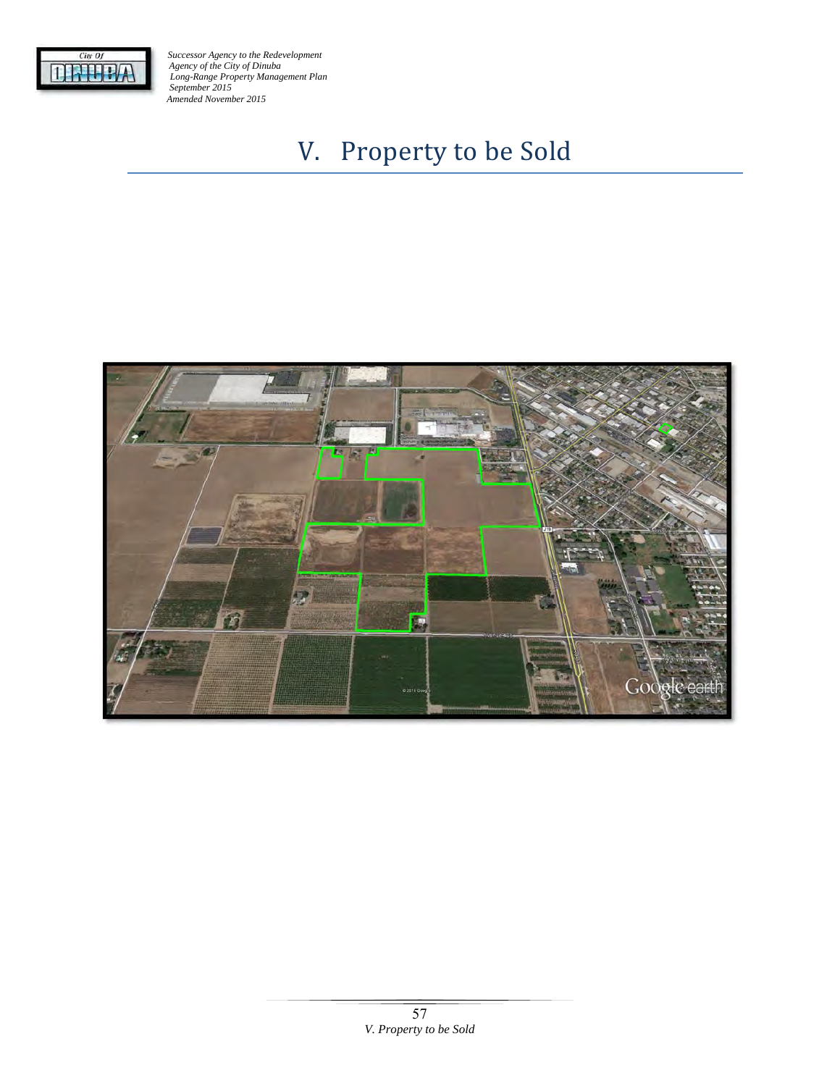

# V. Property to be Sold

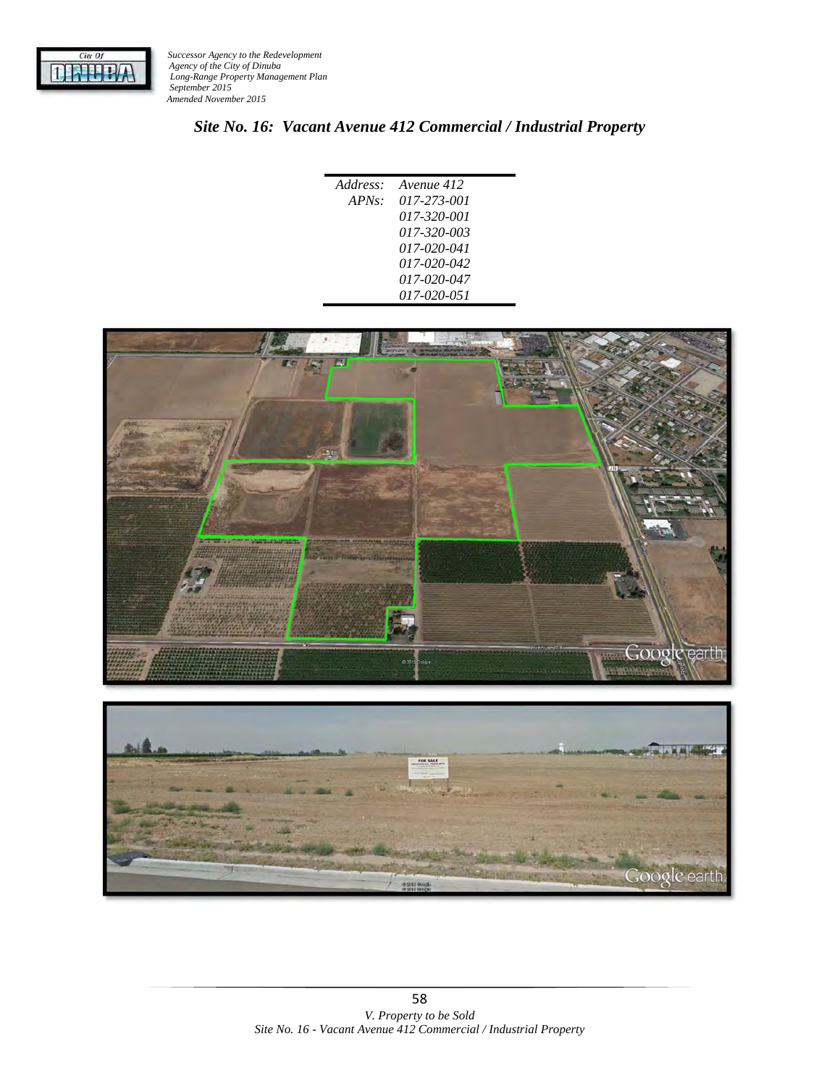

# *Site No. 16: Vacant Avenue 412 Commercial / Industrial Property*

| Address: | Avenue 412  |
|----------|-------------|
|          | 017-273-001 |
| $APNs$ : |             |
|          | 017-320-001 |
|          | 017-320-003 |
|          | 017-020-041 |
|          | 017-020-042 |
|          | 017-020-047 |
|          | 017-020-051 |
|          |             |



Google earth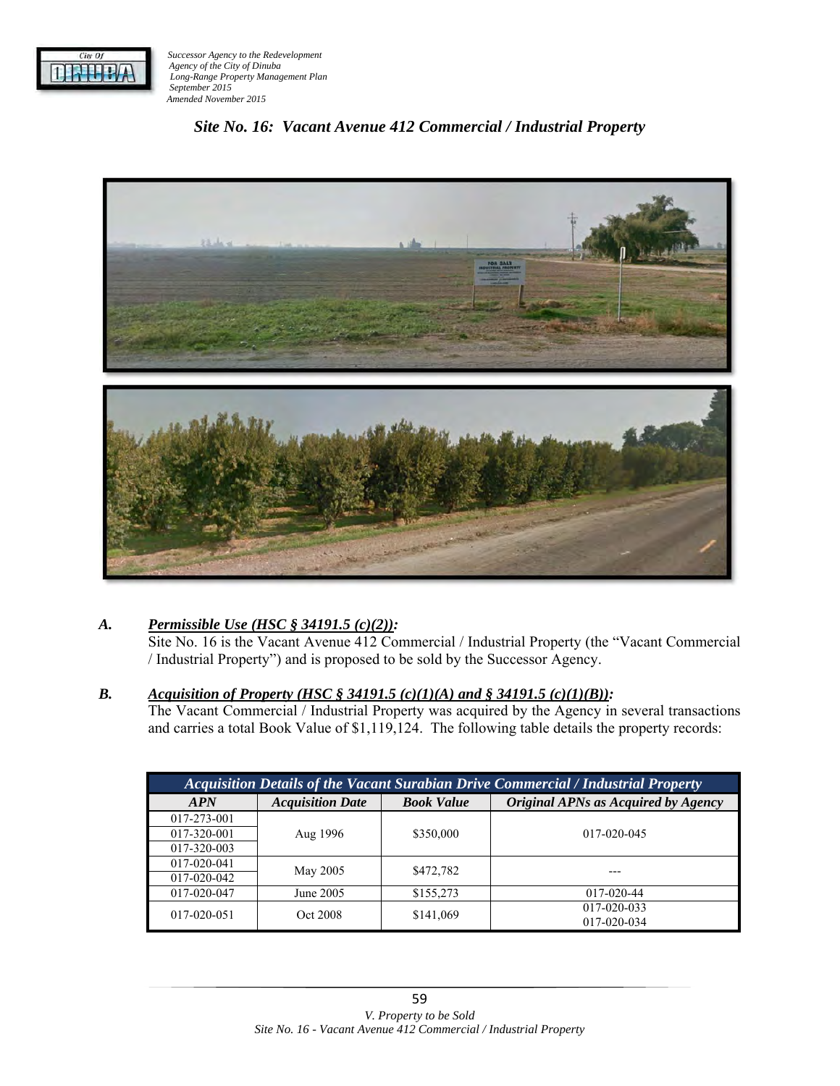

# *Site No. 16: Vacant Avenue 412 Commercial / Industrial Property*



## *A. Permissible Use (HSC § 34191.5 (c)(2)):*

Site No. 16 is the Vacant Avenue 412 Commercial / Industrial Property (the "Vacant Commercial / Industrial Property") and is proposed to be sold by the Successor Agency.

#### *B. Acquisition of Property (HSC § 34191.5 (c)(1)(A) and § 34191.5 (c)(1)(B)):*

The Vacant Commercial / Industrial Property was acquired by the Agency in several transactions and carries a total Book Value of \$1,119,124. The following table details the property records:

| <b>Acquisition Details of the Vacant Surabian Drive Commercial / Industrial Property</b> |                         |                   |                                     |  |  |
|------------------------------------------------------------------------------------------|-------------------------|-------------------|-------------------------------------|--|--|
| <b>APN</b>                                                                               | <b>Acquisition Date</b> | <b>Book Value</b> | Original APNs as Acquired by Agency |  |  |
| 017-273-001                                                                              | Aug 1996                | \$350,000         | $017 - 020 - 045$                   |  |  |
| 017-320-001                                                                              |                         |                   |                                     |  |  |
| 017-320-003                                                                              |                         |                   |                                     |  |  |
| 017-020-041                                                                              | May 2005                | \$472,782         |                                     |  |  |
| 017-020-042                                                                              |                         |                   |                                     |  |  |
| 017-020-047                                                                              | June 2005               | \$155,273         | 017-020-44                          |  |  |
| 017-020-051                                                                              | Oct 2008                | \$141,069         | 017-020-033                         |  |  |
|                                                                                          |                         |                   | 017-020-034                         |  |  |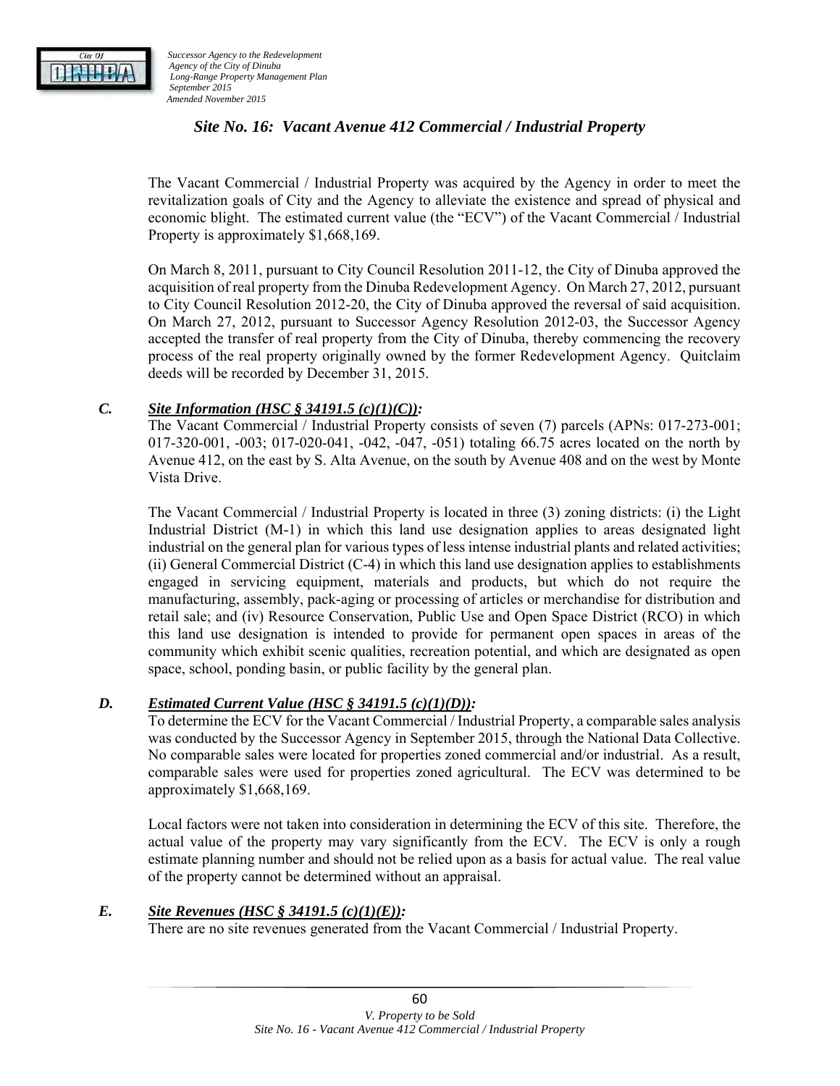

## *Site No. 16: Vacant Avenue 412 Commercial / Industrial Property*

The Vacant Commercial / Industrial Property was acquired by the Agency in order to meet the revitalization goals of City and the Agency to alleviate the existence and spread of physical and economic blight. The estimated current value (the "ECV") of the Vacant Commercial / Industrial Property is approximately \$1,668,169.

On March 8, 2011, pursuant to City Council Resolution 2011-12, the City of Dinuba approved the acquisition of real property from the Dinuba Redevelopment Agency. On March 27, 2012, pursuant to City Council Resolution 2012-20, the City of Dinuba approved the reversal of said acquisition. On March 27, 2012, pursuant to Successor Agency Resolution 2012-03, the Successor Agency accepted the transfer of real property from the City of Dinuba, thereby commencing the recovery process of the real property originally owned by the former Redevelopment Agency. Quitclaim deeds will be recorded by December 31, 2015.

#### *C. Site Information (HSC § 34191.5 (c)(1)(C)):*

The Vacant Commercial / Industrial Property consists of seven (7) parcels (APNs: 017-273-001; 017-320-001, -003; 017-020-041, -042, -047, -051) totaling 66.75 acres located on the north by Avenue 412, on the east by S. Alta Avenue, on the south by Avenue 408 and on the west by Monte Vista Drive.

The Vacant Commercial / Industrial Property is located in three (3) zoning districts: (i) the Light Industrial District (M-1) in which this land use designation applies to areas designated light industrial on the general plan for various types of less intense industrial plants and related activities; (ii) General Commercial District (C-4) in which this land use designation applies to establishments engaged in servicing equipment, materials and products, but which do not require the manufacturing, assembly, pack-aging or processing of articles or merchandise for distribution and retail sale; and (iv) Resource Conservation, Public Use and Open Space District (RCO) in which this land use designation is intended to provide for permanent open spaces in areas of the community which exhibit scenic qualities, recreation potential, and which are designated as open space, school, ponding basin, or public facility by the general plan.

#### *D. Estimated Current Value (HSC § 34191.5 (c)(1)(D)):*

To determine the ECV for the Vacant Commercial / Industrial Property, a comparable sales analysis was conducted by the Successor Agency in September 2015, through the National Data Collective. No comparable sales were located for properties zoned commercial and/or industrial. As a result, comparable sales were used for properties zoned agricultural. The ECV was determined to be approximately \$1,668,169.

Local factors were not taken into consideration in determining the ECV of this site. Therefore, the actual value of the property may vary significantly from the ECV. The ECV is only a rough estimate planning number and should not be relied upon as a basis for actual value. The real value of the property cannot be determined without an appraisal.

#### *E. Site Revenues (HSC § 34191.5 (c)(1)(E)):*

There are no site revenues generated from the Vacant Commercial / Industrial Property.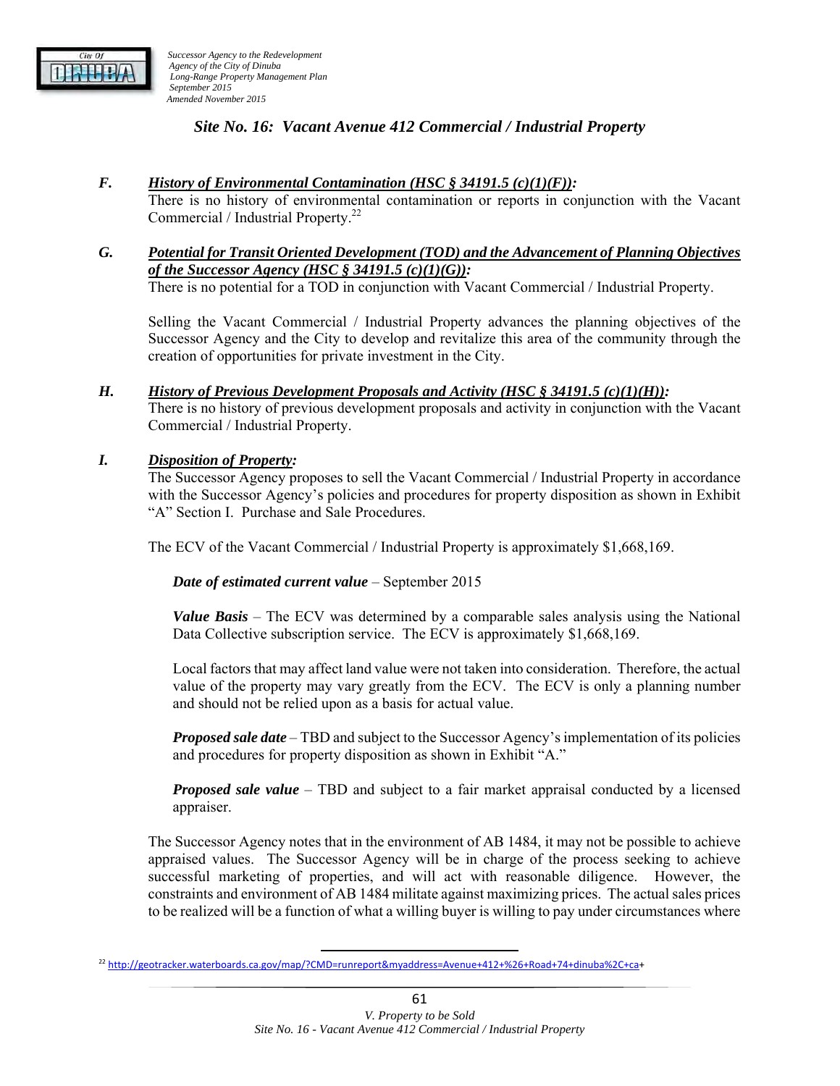

## *Site No. 16: Vacant Avenue 412 Commercial / Industrial Property*

*F. History of Environmental Contamination (HSC § 34191.5 (c)(1)(F)):*

There is no history of environmental contamination or reports in conjunction with the Vacant Commercial / Industrial Property.22

#### *G. Potential for Transit Oriented Development (TOD) and the Advancement of Planning Objectives of the Successor Agency (HSC § 34191.5 (c)(1)(G)):*

There is no potential for a TOD in conjunction with Vacant Commercial / Industrial Property.

Selling the Vacant Commercial / Industrial Property advances the planning objectives of the Successor Agency and the City to develop and revitalize this area of the community through the creation of opportunities for private investment in the City.

#### *H. History of Previous Development Proposals and Activity (HSC § 34191.5 (c)(1)(H)):*

There is no history of previous development proposals and activity in conjunction with the Vacant Commercial / Industrial Property.

#### *I. Disposition of Property:*

The Successor Agency proposes to sell the Vacant Commercial / Industrial Property in accordance with the Successor Agency's policies and procedures for property disposition as shown in Exhibit "A" Section I. Purchase and Sale Procedures.

The ECV of the Vacant Commercial / Industrial Property is approximately \$1,668,169.

#### *Date of estimated current value* – September 2015

*Value Basis* – The ECV was determined by a comparable sales analysis using the National Data Collective subscription service. The ECV is approximately \$1,668,169.

Local factors that may affect land value were not taken into consideration. Therefore, the actual value of the property may vary greatly from the ECV. The ECV is only a planning number and should not be relied upon as a basis for actual value.

*Proposed sale date* – TBD and subject to the Successor Agency's implementation of its policies and procedures for property disposition as shown in Exhibit "A."

*Proposed sale value* – TBD and subject to a fair market appraisal conducted by a licensed appraiser.

The Successor Agency notes that in the environment of AB 1484, it may not be possible to achieve appraised values. The Successor Agency will be in charge of the process seeking to achieve successful marketing of properties, and will act with reasonable diligence. However, the constraints and environment of AB 1484 militate against maximizing prices. The actual sales prices to be realized will be a function of what a willing buyer is willing to pay under circumstances where

<sup>22</sup> http://geotracker.waterboards.ca.gov/map/?CMD=runreport&myaddress=Avenue+412+%26+Road+74+dinuba%2C+ca+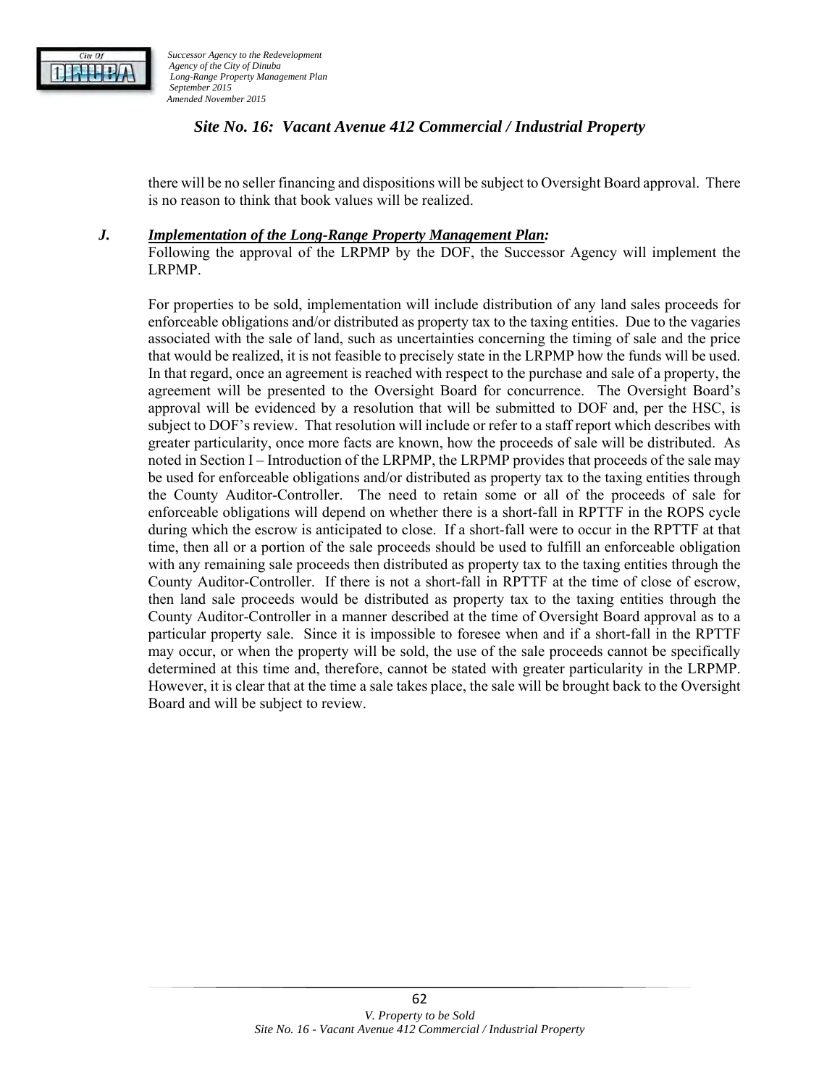

## *Site No. 16: Vacant Avenue 412 Commercial / Industrial Property*

there will be no seller financing and dispositions will be subject to Oversight Board approval. There is no reason to think that book values will be realized.

#### *J. Implementation of the Long-Range Property Management Plan:*

Following the approval of the LRPMP by the DOF, the Successor Agency will implement the LRPMP.

For properties to be sold, implementation will include distribution of any land sales proceeds for enforceable obligations and/or distributed as property tax to the taxing entities. Due to the vagaries associated with the sale of land, such as uncertainties concerning the timing of sale and the price that would be realized, it is not feasible to precisely state in the LRPMP how the funds will be used. In that regard, once an agreement is reached with respect to the purchase and sale of a property, the agreement will be presented to the Oversight Board for concurrence. The Oversight Board's approval will be evidenced by a resolution that will be submitted to DOF and, per the HSC, is subject to DOF's review. That resolution will include or refer to a staff report which describes with greater particularity, once more facts are known, how the proceeds of sale will be distributed. As noted in Section I – Introduction of the LRPMP, the LRPMP provides that proceeds of the sale may be used for enforceable obligations and/or distributed as property tax to the taxing entities through the County Auditor-Controller. The need to retain some or all of the proceeds of sale for enforceable obligations will depend on whether there is a short-fall in RPTTF in the ROPS cycle during which the escrow is anticipated to close. If a short-fall were to occur in the RPTTF at that time, then all or a portion of the sale proceeds should be used to fulfill an enforceable obligation with any remaining sale proceeds then distributed as property tax to the taxing entities through the County Auditor-Controller. If there is not a short-fall in RPTTF at the time of close of escrow, then land sale proceeds would be distributed as property tax to the taxing entities through the County Auditor-Controller in a manner described at the time of Oversight Board approval as to a particular property sale. Since it is impossible to foresee when and if a short-fall in the RPTTF may occur, or when the property will be sold, the use of the sale proceeds cannot be specifically determined at this time and, therefore, cannot be stated with greater particularity in the LRPMP. However, it is clear that at the time a sale takes place, the sale will be brought back to the Oversight Board and will be subject to review.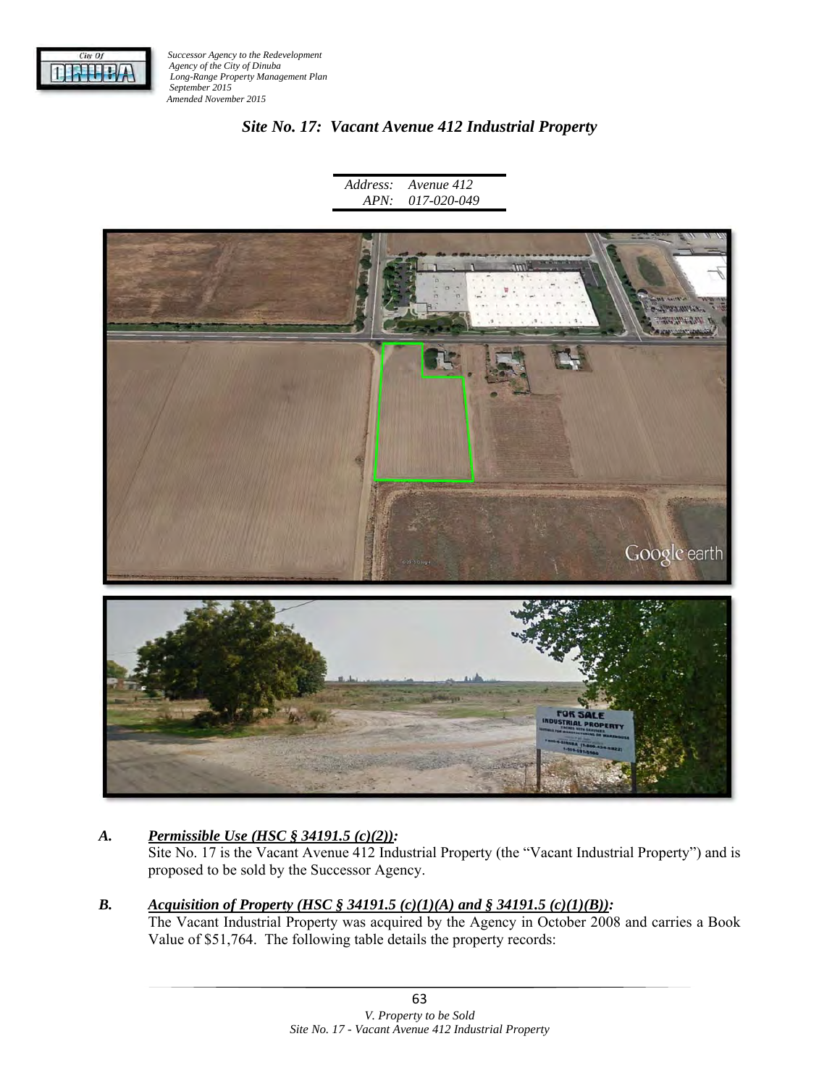

## *Site No. 17: Vacant Avenue 412 Industrial Property*

*Address: APN: Avenue 412 017-020-049* 



## *A. Permissible Use (HSC § 34191.5 (c)(2)):*

Site No. 17 is the Vacant Avenue 412 Industrial Property (the "Vacant Industrial Property") and is proposed to be sold by the Successor Agency.

## *B. Acquisition of Property (HSC § 34191.5 (c)(1)(A) and § 34191.5 (c)(1)(B)):*

The Vacant Industrial Property was acquired by the Agency in October 2008 and carries a Book Value of \$51,764. The following table details the property records: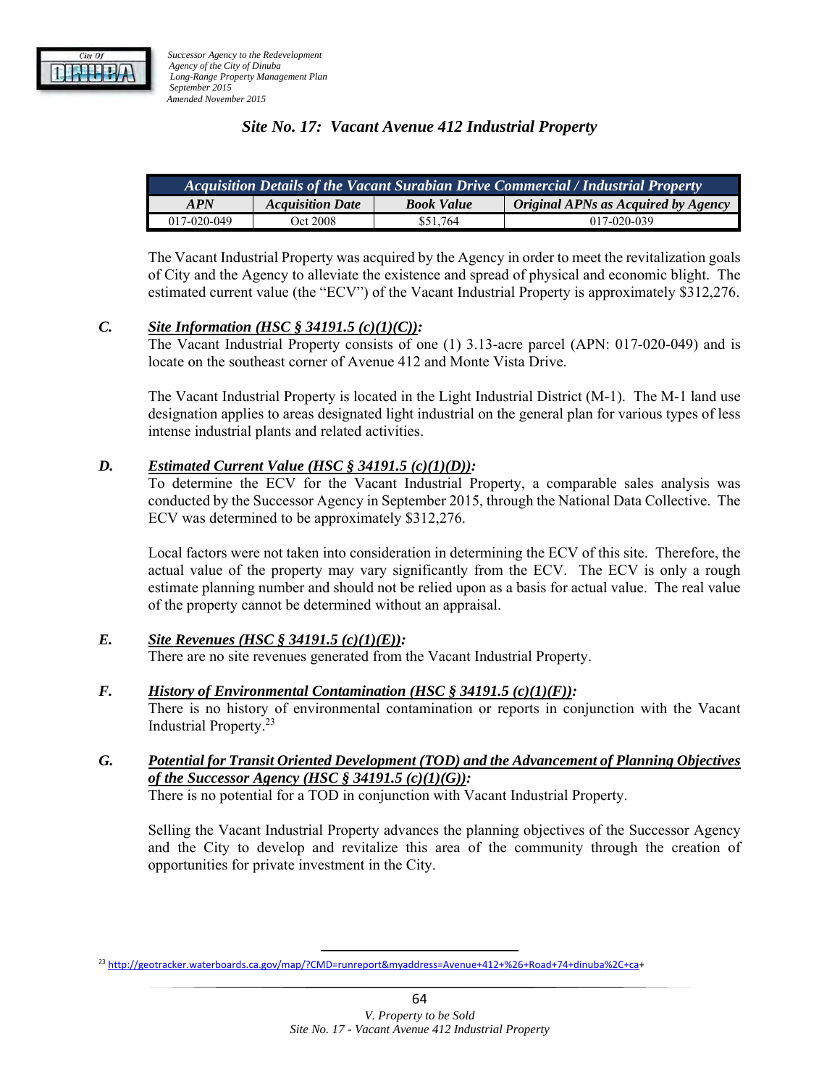## *Site No. 17: Vacant Avenue 412 Industrial Property*

| Acquisition Details of the Vacant Surabian Drive Commercial / Industrial Property |                         |                   |                                     |  |  |
|-----------------------------------------------------------------------------------|-------------------------|-------------------|-------------------------------------|--|--|
| <b>APN</b>                                                                        | <b>Acquisition Date</b> | <b>Book Value</b> | Original APNs as Acquired by Agency |  |  |
| 017-020-049                                                                       | Oct 2008                | \$51.764          | 017-020-039                         |  |  |

The Vacant Industrial Property was acquired by the Agency in order to meet the revitalization goals of City and the Agency to alleviate the existence and spread of physical and economic blight. The estimated current value (the "ECV") of the Vacant Industrial Property is approximately \$312,276.

#### *C. Site Information (HSC § 34191.5 (c)(1)(C)):*

The Vacant Industrial Property consists of one (1) 3.13-acre parcel (APN: 017-020-049) and is locate on the southeast corner of Avenue 412 and Monte Vista Drive.

The Vacant Industrial Property is located in the Light Industrial District (M-1). The M-1 land use designation applies to areas designated light industrial on the general plan for various types of less intense industrial plants and related activities.

#### *D. Estimated Current Value (HSC § 34191.5 (c)(1)(D)):*

To determine the ECV for the Vacant Industrial Property, a comparable sales analysis was conducted by the Successor Agency in September 2015, through the National Data Collective. The ECV was determined to be approximately \$312,276.

Local factors were not taken into consideration in determining the ECV of this site. Therefore, the actual value of the property may vary significantly from the ECV. The ECV is only a rough estimate planning number and should not be relied upon as a basis for actual value. The real value of the property cannot be determined without an appraisal.

## *E. Site Revenues (HSC § 34191.5 (c)(1)(E)):*

There are no site revenues generated from the Vacant Industrial Property.

- *F. History of Environmental Contamination (HSC § 34191.5 (c)(1)(F)):* There is no history of environmental contamination or reports in conjunction with the Vacant Industrial Property.23
- *G. Potential for Transit Oriented Development (TOD) and the Advancement of Planning Objectives of the Successor Agency (HSC § 34191.5 (c)(1)(G)):*  There is no potential for a TOD in conjunction with Vacant Industrial Property.

Selling the Vacant Industrial Property advances the planning objectives of the Successor Agency and the City to develop and revitalize this area of the community through the creation of opportunities for private investment in the City.

<sup>23</sup> http://geotracker.waterboards.ca.gov/map/?CMD=runreport&myaddress=Avenue+412+%26+Road+74+dinuba%2C+ca+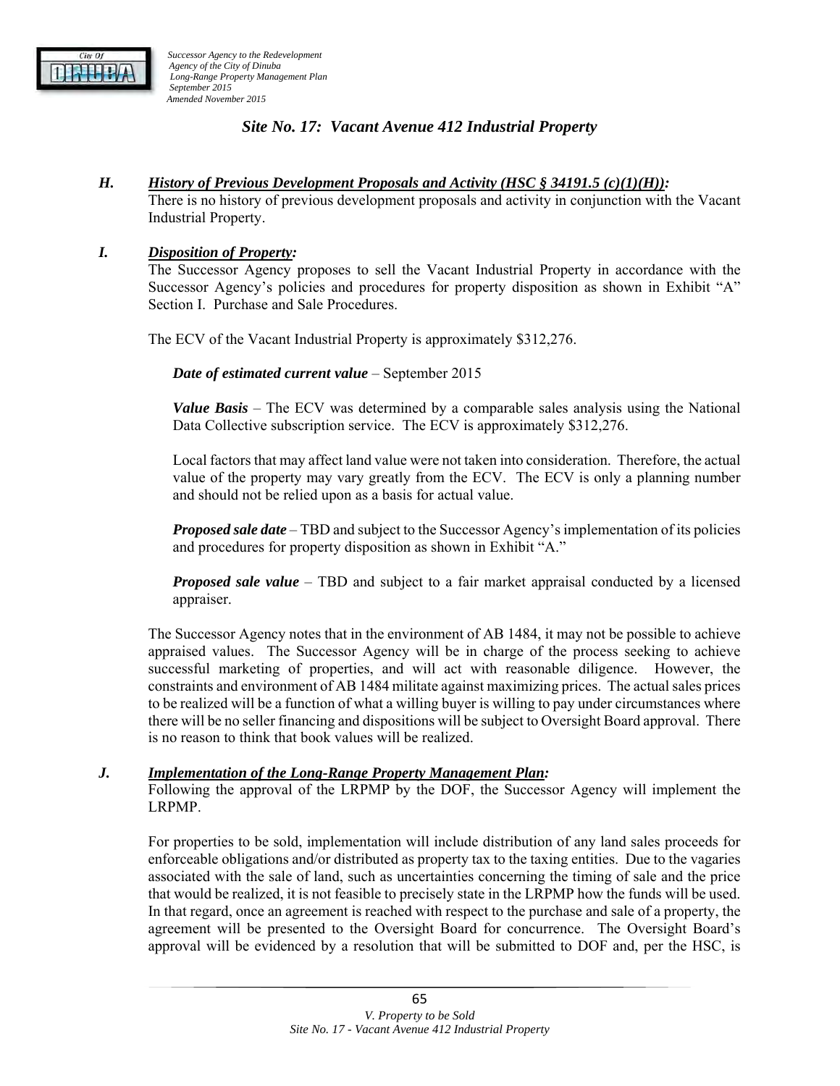

## *Site No. 17: Vacant Avenue 412 Industrial Property*

#### *H. History of Previous Development Proposals and Activity (HSC § 34191.5 (c)(1)(H)):*

There is no history of previous development proposals and activity in conjunction with the Vacant Industrial Property.

#### *I. Disposition of Property:*

The Successor Agency proposes to sell the Vacant Industrial Property in accordance with the Successor Agency's policies and procedures for property disposition as shown in Exhibit "A" Section I. Purchase and Sale Procedures.

The ECV of the Vacant Industrial Property is approximately \$312,276.

*Date of estimated current value* – September 2015

*Value Basis* – The ECV was determined by a comparable sales analysis using the National Data Collective subscription service. The ECV is approximately \$312,276.

Local factors that may affect land value were not taken into consideration. Therefore, the actual value of the property may vary greatly from the ECV. The ECV is only a planning number and should not be relied upon as a basis for actual value.

*Proposed sale date* – TBD and subject to the Successor Agency's implementation of its policies and procedures for property disposition as shown in Exhibit "A."

*Proposed sale value* – TBD and subject to a fair market appraisal conducted by a licensed appraiser.

The Successor Agency notes that in the environment of AB 1484, it may not be possible to achieve appraised values. The Successor Agency will be in charge of the process seeking to achieve successful marketing of properties, and will act with reasonable diligence. However, the constraints and environment of AB 1484 militate against maximizing prices. The actual sales prices to be realized will be a function of what a willing buyer is willing to pay under circumstances where there will be no seller financing and dispositions will be subject to Oversight Board approval. There is no reason to think that book values will be realized.

#### *J. Implementation of the Long-Range Property Management Plan:*

Following the approval of the LRPMP by the DOF, the Successor Agency will implement the LRPMP.

For properties to be sold, implementation will include distribution of any land sales proceeds for enforceable obligations and/or distributed as property tax to the taxing entities. Due to the vagaries associated with the sale of land, such as uncertainties concerning the timing of sale and the price that would be realized, it is not feasible to precisely state in the LRPMP how the funds will be used. In that regard, once an agreement is reached with respect to the purchase and sale of a property, the agreement will be presented to the Oversight Board for concurrence. The Oversight Board's approval will be evidenced by a resolution that will be submitted to DOF and, per the HSC, is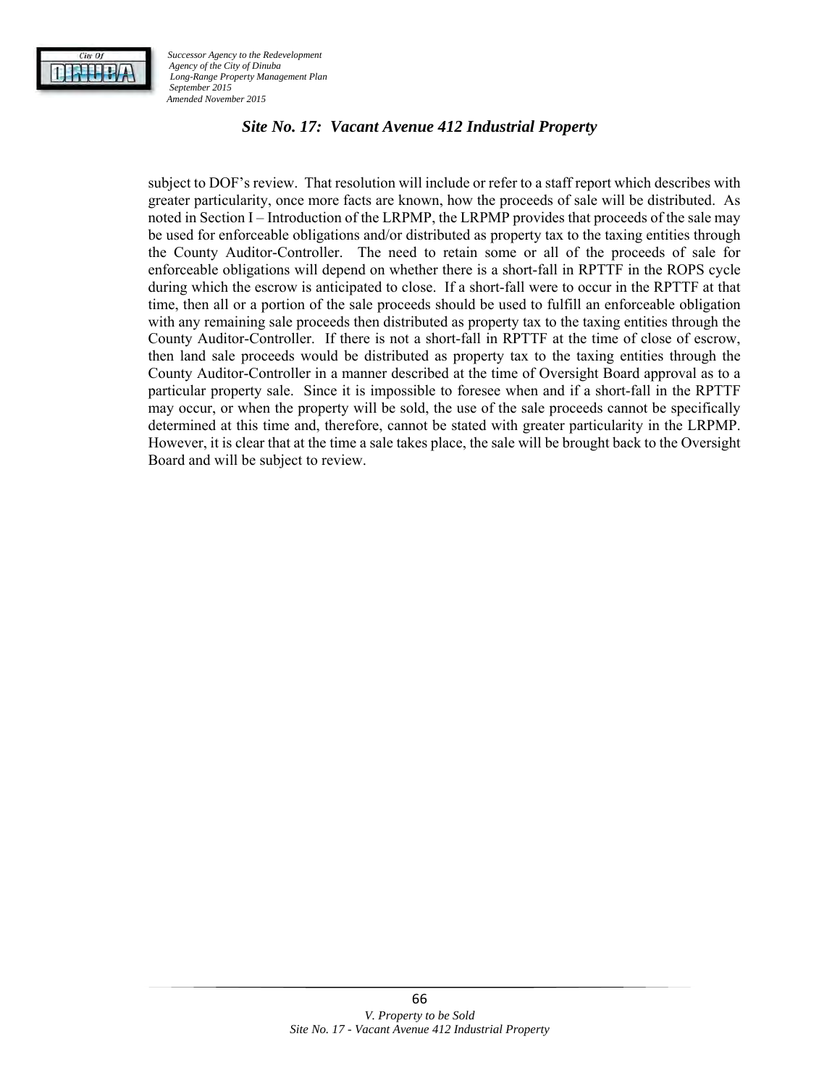

## *Site No. 17: Vacant Avenue 412 Industrial Property*

subject to DOF's review. That resolution will include or refer to a staff report which describes with greater particularity, once more facts are known, how the proceeds of sale will be distributed. As noted in Section I – Introduction of the LRPMP, the LRPMP provides that proceeds of the sale may be used for enforceable obligations and/or distributed as property tax to the taxing entities through the County Auditor-Controller. The need to retain some or all of the proceeds of sale for enforceable obligations will depend on whether there is a short-fall in RPTTF in the ROPS cycle during which the escrow is anticipated to close. If a short-fall were to occur in the RPTTF at that time, then all or a portion of the sale proceeds should be used to fulfill an enforceable obligation with any remaining sale proceeds then distributed as property tax to the taxing entities through the County Auditor-Controller. If there is not a short-fall in RPTTF at the time of close of escrow, then land sale proceeds would be distributed as property tax to the taxing entities through the County Auditor-Controller in a manner described at the time of Oversight Board approval as to a particular property sale. Since it is impossible to foresee when and if a short-fall in the RPTTF may occur, or when the property will be sold, the use of the sale proceeds cannot be specifically determined at this time and, therefore, cannot be stated with greater particularity in the LRPMP. However, it is clear that at the time a sale takes place, the sale will be brought back to the Oversight Board and will be subject to review.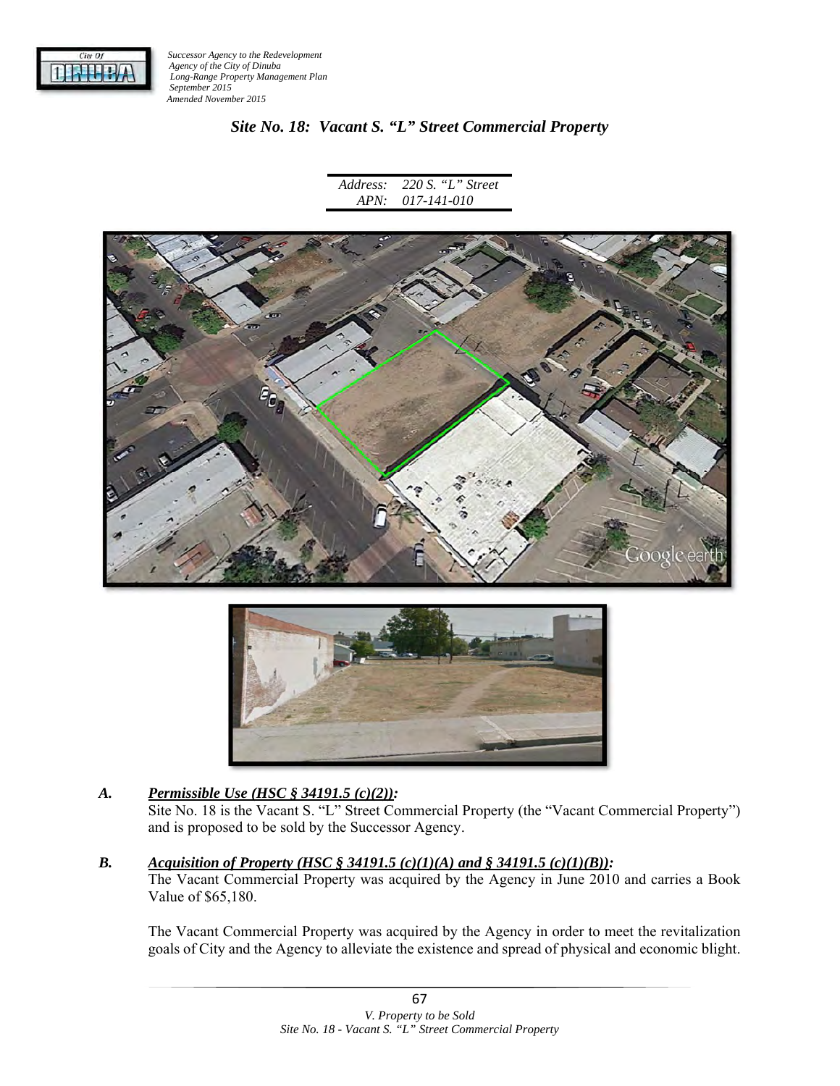

## *Site No. 18: Vacant S. "L" Street Commercial Property*

*Address: APN: 220 S. "L" Street 017-141-010* 





## *A. Permissible Use (HSC § 34191.5 (c)(2)):*

Site No. 18 is the Vacant S. "L" Street Commercial Property (the "Vacant Commercial Property") and is proposed to be sold by the Successor Agency.

#### *B. Acquisition of Property (HSC § 34191.5 (c)(1)(A) and § 34191.5 (c)(1)(B)):*

The Vacant Commercial Property was acquired by the Agency in June 2010 and carries a Book Value of \$65,180.

The Vacant Commercial Property was acquired by the Agency in order to meet the revitalization goals of City and the Agency to alleviate the existence and spread of physical and economic blight.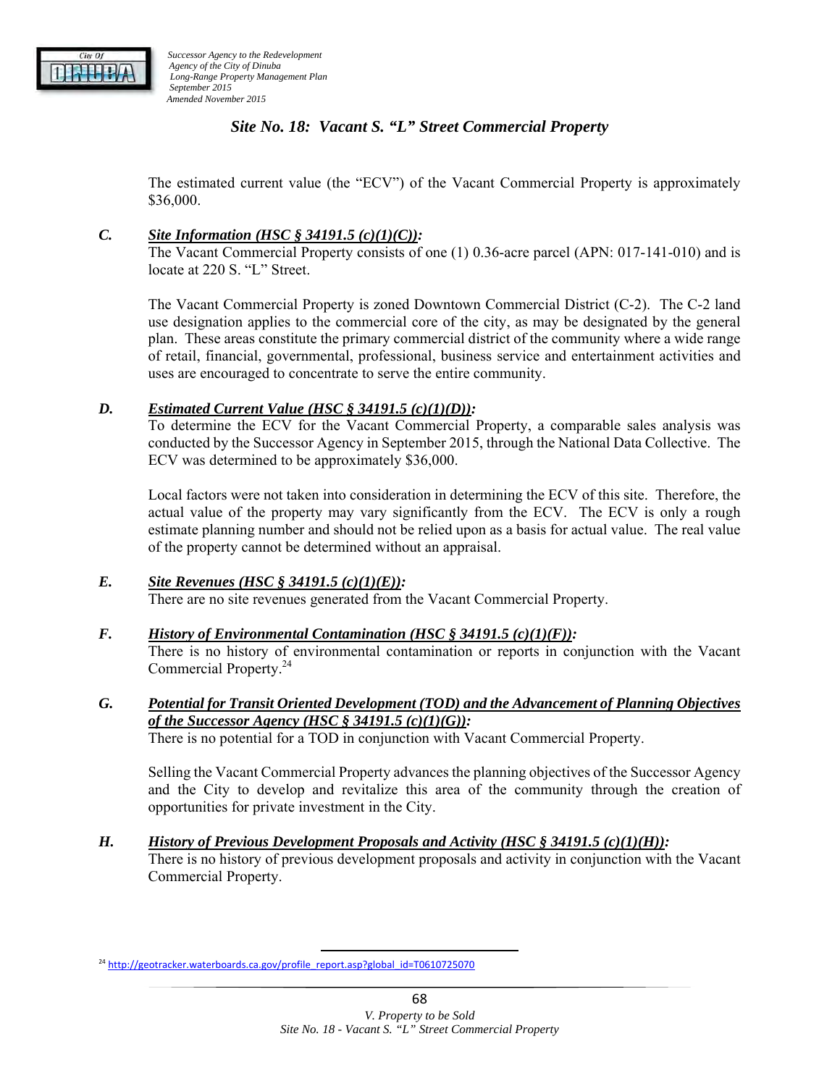

## *Site No. 18: Vacant S. "L" Street Commercial Property*

The estimated current value (the "ECV") of the Vacant Commercial Property is approximately \$36,000.

#### *C. Site Information (HSC § 34191.5 (c)(1)(C)):*

The Vacant Commercial Property consists of one (1) 0.36-acre parcel (APN: 017-141-010) and is locate at 220 S. "L" Street.

The Vacant Commercial Property is zoned Downtown Commercial District (C-2). The C-2 land use designation applies to the commercial core of the city, as may be designated by the general plan. These areas constitute the primary commercial district of the community where a wide range of retail, financial, governmental, professional, business service and entertainment activities and uses are encouraged to concentrate to serve the entire community.

#### *D. Estimated Current Value (HSC § 34191.5 (c)(1)(D)):*

To determine the ECV for the Vacant Commercial Property, a comparable sales analysis was conducted by the Successor Agency in September 2015, through the National Data Collective. The ECV was determined to be approximately \$36,000.

Local factors were not taken into consideration in determining the ECV of this site. Therefore, the actual value of the property may vary significantly from the ECV. The ECV is only a rough estimate planning number and should not be relied upon as a basis for actual value. The real value of the property cannot be determined without an appraisal.

## *E. Site Revenues (HSC § 34191.5 (c)(1)(E)):*

There are no site revenues generated from the Vacant Commercial Property.

#### *F. History of Environmental Contamination (HSC § 34191.5 (c)(1)(F)):*

There is no history of environmental contamination or reports in conjunction with the Vacant Commercial Property.24

*G. Potential for Transit Oriented Development (TOD) and the Advancement of Planning Objectives of the Successor Agency (HSC § 34191.5 (c)(1)(G)):* 

There is no potential for a TOD in conjunction with Vacant Commercial Property.

Selling the Vacant Commercial Property advances the planning objectives of the Successor Agency and the City to develop and revitalize this area of the community through the creation of opportunities for private investment in the City.

*H. History of Previous Development Proposals and Activity (HSC § 34191.5 (c)(1)(H)):*  There is no history of previous development proposals and activity in conjunction with the Vacant Commercial Property.

<sup>&</sup>lt;sup>24</sup> http://geotracker.waterboards.ca.gov/profile\_report.asp?global\_id=T0610725070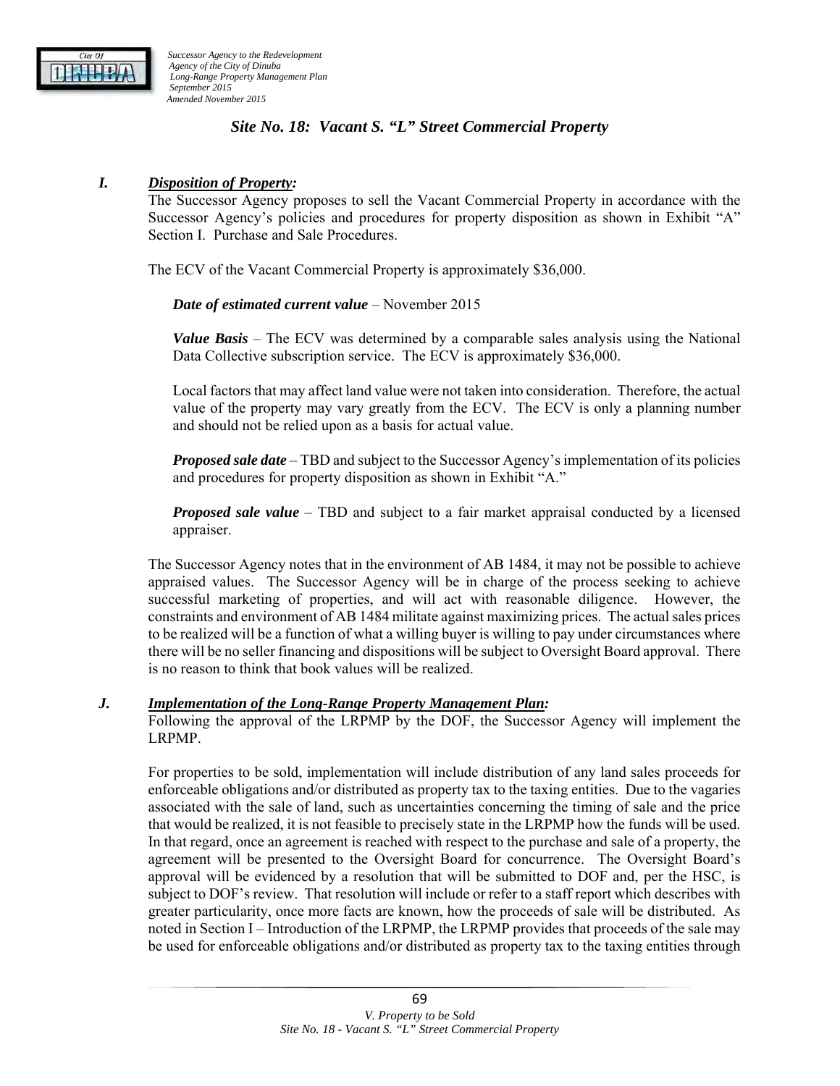

## *Site No. 18: Vacant S. "L" Street Commercial Property*

### *I. Disposition of Property:*

The Successor Agency proposes to sell the Vacant Commercial Property in accordance with the Successor Agency's policies and procedures for property disposition as shown in Exhibit "A" Section I. Purchase and Sale Procedures.

The ECV of the Vacant Commercial Property is approximately \$36,000.

*Date of estimated current value* – November 2015

*Value Basis* – The ECV was determined by a comparable sales analysis using the National Data Collective subscription service. The ECV is approximately \$36,000.

Local factors that may affect land value were not taken into consideration. Therefore, the actual value of the property may vary greatly from the ECV. The ECV is only a planning number and should not be relied upon as a basis for actual value.

*Proposed sale date* – TBD and subject to the Successor Agency's implementation of its policies and procedures for property disposition as shown in Exhibit "A."

*Proposed sale value* – TBD and subject to a fair market appraisal conducted by a licensed appraiser.

The Successor Agency notes that in the environment of AB 1484, it may not be possible to achieve appraised values. The Successor Agency will be in charge of the process seeking to achieve successful marketing of properties, and will act with reasonable diligence. However, the constraints and environment of AB 1484 militate against maximizing prices. The actual sales prices to be realized will be a function of what a willing buyer is willing to pay under circumstances where there will be no seller financing and dispositions will be subject to Oversight Board approval. There is no reason to think that book values will be realized.

#### *J. Implementation of the Long-Range Property Management Plan:*

Following the approval of the LRPMP by the DOF, the Successor Agency will implement the LRPMP.

For properties to be sold, implementation will include distribution of any land sales proceeds for enforceable obligations and/or distributed as property tax to the taxing entities. Due to the vagaries associated with the sale of land, such as uncertainties concerning the timing of sale and the price that would be realized, it is not feasible to precisely state in the LRPMP how the funds will be used. In that regard, once an agreement is reached with respect to the purchase and sale of a property, the agreement will be presented to the Oversight Board for concurrence. The Oversight Board's approval will be evidenced by a resolution that will be submitted to DOF and, per the HSC, is subject to DOF's review. That resolution will include or refer to a staff report which describes with greater particularity, once more facts are known, how the proceeds of sale will be distributed. As noted in Section I – Introduction of the LRPMP, the LRPMP provides that proceeds of the sale may be used for enforceable obligations and/or distributed as property tax to the taxing entities through